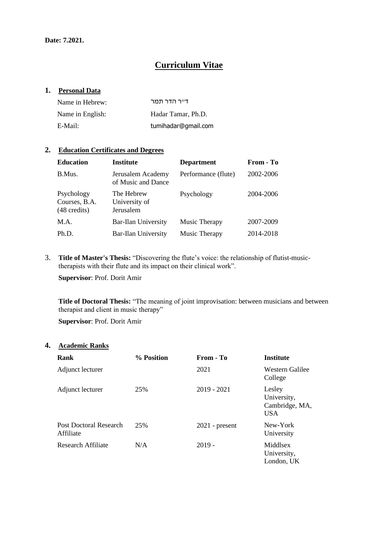## **Curriculum Vitae**

#### **1. Personal Data**

| Name in Hebrew:  | דייר הדר תמר        |
|------------------|---------------------|
| Name in English: | Hadar Tamar, Ph.D.  |
| E-Mail:          | tumihadar@gmail.com |

### **2. Education Certificates and Degrees**

| <b>Education</b>                                      | <b>Institute</b>                         | <b>Department</b>   | From - To |
|-------------------------------------------------------|------------------------------------------|---------------------|-----------|
| B.Mus.                                                | Jerusalem Academy<br>of Music and Dance  | Performance (flute) | 2002-2006 |
| Psychology<br>Courses, B.A.<br>$(48 \text{ credits})$ | The Hebrew<br>University of<br>Jerusalem | Psychology          | 2004-2006 |
| M.A.                                                  | <b>Bar-Ilan University</b>               | Music Therapy       | 2007-2009 |
| Ph.D.                                                 | <b>Bar-Ilan University</b>               | Music Therapy       | 2014-2018 |

3. **Title of Master's Thesis:** "Discovering the flute's voice: the relationship of flutist-musictherapists with their flute and its impact on their clinical work".

**Supervisor**: Prof. Dorit Amir

**Title of Doctoral Thesis:** "The meaning of joint improvisation: between musicians and between therapist and client in music therapy"

**Supervisor**: Prof. Dorit Amir

#### **4. Academic Ranks**

| Rank                                | % Position | From - To        | <b>Institute</b>                                      |
|-------------------------------------|------------|------------------|-------------------------------------------------------|
| Adjunct lecturer                    |            | 2021             | Western Galilee<br>College                            |
| Adjunct lecturer                    | 25%        | $2019 - 2021$    | Lesley<br>University,<br>Cambridge, MA,<br><b>USA</b> |
| Post Doctoral Research<br>Affiliate | 25%        | $2021$ - present | New-York<br>University                                |
| Research Affiliate                  | N/A        | $2019 -$         | Middlsex<br>University,<br>London, UK                 |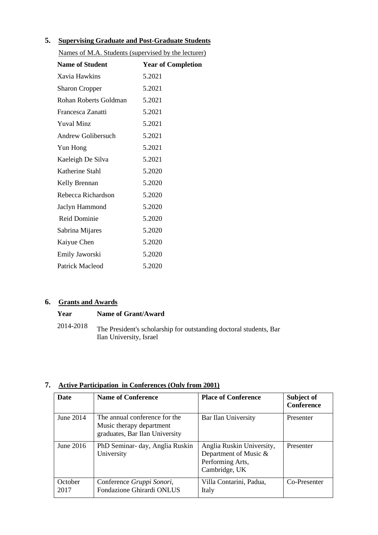## **5. Supervising Graduate and Post-Graduate Students**

| Names of M.A. Students (supervised by the lecturer) |                           |  |  |
|-----------------------------------------------------|---------------------------|--|--|
| <b>Name of Student</b>                              | <b>Year of Completion</b> |  |  |
| Xavia Hawkins                                       | 5.2021                    |  |  |
| <b>Sharon Cropper</b>                               | 5.2021                    |  |  |
| Rohan Roberts Goldman                               | 5.2021                    |  |  |
| Francesca Zanatti                                   | 5.2021                    |  |  |
| <b>Yuval Minz</b>                                   | 5.2021                    |  |  |
| <b>Andrew Golibersuch</b>                           | 5.2021                    |  |  |
| Yun Hong                                            | 5.2021                    |  |  |
| Kaeleigh De Silva                                   | 5.2021                    |  |  |
| Katherine Stahl                                     | 5.2020                    |  |  |
| Kelly Brennan                                       | 5.2020                    |  |  |
| Rebecca Richardson                                  | 5.2020                    |  |  |
| Jaclyn Hammond                                      | 5.2020                    |  |  |
| <b>Reid Dominie</b>                                 | 5.2020                    |  |  |
| Sabrina Mijares                                     | 5.2020                    |  |  |
| Kaiyue Chen                                         | 5.2020                    |  |  |
| Emily Jaworski                                      | 5.2020                    |  |  |
| Patrick Macleod                                     | 5.2020                    |  |  |

## **6. Grants and Awards**

| Year      | Name of Grant/Award                                                                           |
|-----------|-----------------------------------------------------------------------------------------------|
| 2014-2018 | The President's scholarship for outstanding doctoral students, Bar<br>Ilan University, Israel |

# **7. Active Participation in Conferences (Only from 2001)**

| <b>Date</b>     | <b>Name of Conference</b>                                                                   | <b>Place of Conference</b>                                                              | Subject of<br><b>Conference</b> |
|-----------------|---------------------------------------------------------------------------------------------|-----------------------------------------------------------------------------------------|---------------------------------|
| June 2014       | The annual conference for the<br>Music therapy department<br>graduates, Bar Ilan University | Bar Ilan University                                                                     | Presenter                       |
| June 2016       | PhD Seminar- day, Anglia Ruskin<br>University                                               | Anglia Ruskin University,<br>Department of Music &<br>Performing Arts,<br>Cambridge, UK | Presenter                       |
| October<br>2017 | Conference Gruppi Sonori,<br>Fondazione Ghirardi ONLUS                                      | Villa Contarini, Padua,<br>Italy                                                        | Co-Presenter                    |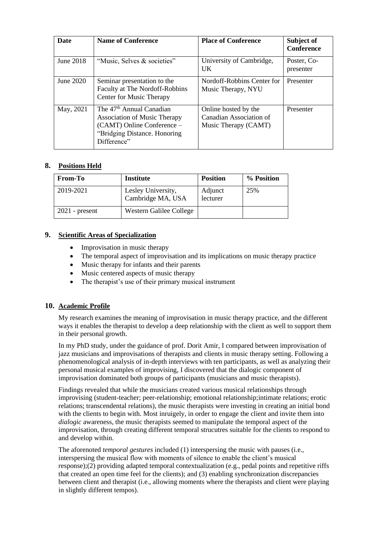| <b>Date</b> | <b>Name of Conference</b>                                                                                                                                | <b>Place of Conference</b>                                              | Subject of<br><b>Conference</b> |
|-------------|----------------------------------------------------------------------------------------------------------------------------------------------------------|-------------------------------------------------------------------------|---------------------------------|
| June 2018   | "Music, Selves & societies"                                                                                                                              | University of Cambridge,<br>$_{\rm{IJK}}$                               | Poster, Co-<br>presenter        |
| June 2020   | Seminar presentation to the<br>Faculty at The Nordoff-Robbins<br>Center for Music Therapy                                                                | Nordoff-Robbins Center for<br>Music Therapy, NYU                        | Presenter                       |
| May, 2021   | The 47 <sup>th</sup> Annual Canadian<br><b>Association of Music Therapy</b><br>(CAMT) Online Conference –<br>"Bridging Distance. Honoring<br>Difference" | Online hosted by the<br>Canadian Association of<br>Music Therapy (CAMT) | Presenter                       |

## **8. Positions Held**

| <b>From-To</b>   | <b>Institute</b>                        | <b>Position</b>     | % Position |
|------------------|-----------------------------------------|---------------------|------------|
| 2019-2021        | Lesley University,<br>Cambridge MA, USA | Adjunct<br>lecturer | 25%        |
| $2021$ - present | Western Galilee College                 |                     |            |

### **9. Scientific Areas of Specialization**

- Improvisation in music therapy
- The temporal aspect of improvisation and its implications on music therapy practice
- Music therapy for infants and their parents
- Music centered aspects of music therapy
- The therapist's use of their primary musical instrument

## **10. Academic Profile**

My research examines the meaning of improvisation in music therapy practice, and the different ways it enables the therapist to develop a deep relationship with the client as well to support them in their personal growth.

In my PhD study, under the guidance of prof. Dorit Amir, I compared between improvisation of jazz musicians and improvisations of therapists and clients in music therapy setting. Following a phenomenological analysis of in-depth interviews with ten participants, as well as analyzing their personal musical examples of improvising, I discovered that the dialogic component of improvisation dominated both groups of participants (musicians and music therapists).

Findings revealed that while the musicians created various musical relationships through improvising (student-teacher; peer-relationship; emotional relationship;intimate relations; erotic relations; transcendental relations), the music therapists were investing in creating an initial bond with the clients to begin with. Most inruigely, in order to engage the client and invite them into *dialogic* awareness, the music therapists seemed to manipulate the temporal aspect of the improvisation, through creating different temporal strucutres suitable for the clients to respond to and develop within.

The aforenoted *temporal gestures* included (1) interspersing the music with pauses (i.e., interspersing the musical flow with moments of silence to enable the client's musical response);(2) providing adapted temporal contextualization (e.g., pedal points and repetitive riffs that created an open time feel for the clients); and (3) enabling synchronization discrepancies between client and therapist (i.e., allowing moments where the therapists and client were playing in slightly different tempos).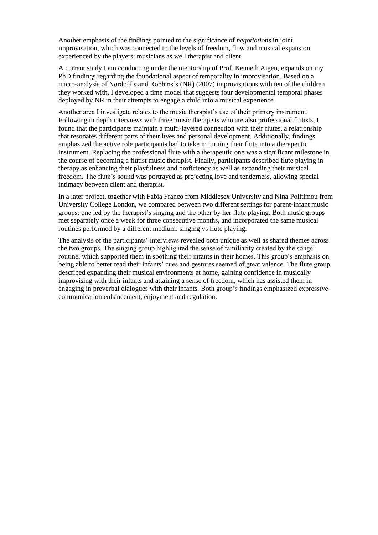Another emphasis of the findings pointed to the significance of *negotiations* in joint improvisation, which was connected to the levels of freedom, flow and musical expansion experienced by the players: musicians as well therapist and client.

A current study I am conducting under the mentorship of Prof. Kenneth Aigen, expands on my PhD findings regarding the foundational aspect of temporality in improvisation. Based on a micro-analysis of Nordoff's and Robbins's (NR) (2007) improvisations with ten of the children they worked with, I developed a time model that suggests four developmental temporal phases deployed by NR in their attempts to engage a child into a musical experience.

Another area I investigate relates to the music therapist's use of their primary instrument. Following in depth interviews with three music therapists who are also professional flutists, I found that the participants maintain a multi-layered connection with their flutes, a relationship that resonates different parts of their lives and personal development. Additionally, findings emphasized the active role participants had to take in turning their flute into a therapeutic instrument. Replacing the professional flute with a therapeutic one was a significant milestone in the course of becoming a flutist music therapist. Finally, participants described flute playing in therapy as enhancing their playfulness and proficiency as well as expanding their musical freedom. The flute's sound was portrayed as projecting love and tenderness, allowing special intimacy between client and therapist.

In a later project, together with Fabia Franco from Middlesex University and Nina Politimou from University College London, we compared between two different settings for parent-infant music groups: one led by the therapist's singing and the other by her flute playing. Both music groups met separately once a week for three consecutive months, and incorporated the same musical routines performed by a different medium: singing vs flute playing.

The analysis of the participants' interviews revealed both unique as well as shared themes across the two groups. The singing group highlighted the sense of familiarity created by the songs' routine, which supported them in soothing their infants in their homes. This group's emphasis on being able to better read their infants' cues and gestures seemed of great valence. The flute group described expanding their musical environments at home, gaining confidence in musically improvising with their infants and attaining a sense of freedom, which has assisted them in engaging in preverbal dialogues with their infants. Both group's findings emphasized expressivecommunication enhancement, enjoyment and regulation.